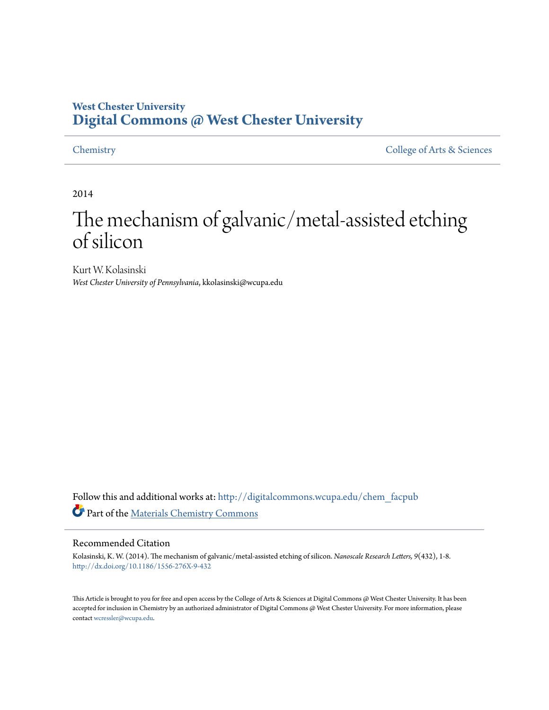# **West Chester University [Digital Commons @ West Chester University](http://digitalcommons.wcupa.edu?utm_source=digitalcommons.wcupa.edu%2Fchem_facpub%2F12&utm_medium=PDF&utm_campaign=PDFCoverPages)**

[Chemistry](http://digitalcommons.wcupa.edu/chem_facpub?utm_source=digitalcommons.wcupa.edu%2Fchem_facpub%2F12&utm_medium=PDF&utm_campaign=PDFCoverPages) [College of Arts & Sciences](http://digitalcommons.wcupa.edu/cas?utm_source=digitalcommons.wcupa.edu%2Fchem_facpub%2F12&utm_medium=PDF&utm_campaign=PDFCoverPages)

2014

# The mechanism of galvanic/metal-assisted etching of silicon

Kurt W. Kolasinski *West Chester University of Pennsylvania*, kkolasinski@wcupa.edu

Follow this and additional works at: [http://digitalcommons.wcupa.edu/chem\\_facpub](http://digitalcommons.wcupa.edu/chem_facpub?utm_source=digitalcommons.wcupa.edu%2Fchem_facpub%2F12&utm_medium=PDF&utm_campaign=PDFCoverPages) Part of the [Materials Chemistry Commons](http://network.bepress.com/hgg/discipline/135?utm_source=digitalcommons.wcupa.edu%2Fchem_facpub%2F12&utm_medium=PDF&utm_campaign=PDFCoverPages)

# Recommended Citation

Kolasinski, K. W. (2014). The mechanism of galvanic/metal-assisted etching of silicon. *Nanoscale Research Letters, 9*(432), 1-8. <http://dx.doi.org/10.1186/1556-276X-9-432>

This Article is brought to you for free and open access by the College of Arts & Sciences at Digital Commons @ West Chester University. It has been accepted for inclusion in Chemistry by an authorized administrator of Digital Commons @ West Chester University. For more information, please contact [wcressler@wcupa.edu.](mailto:wcressler@wcupa.edu)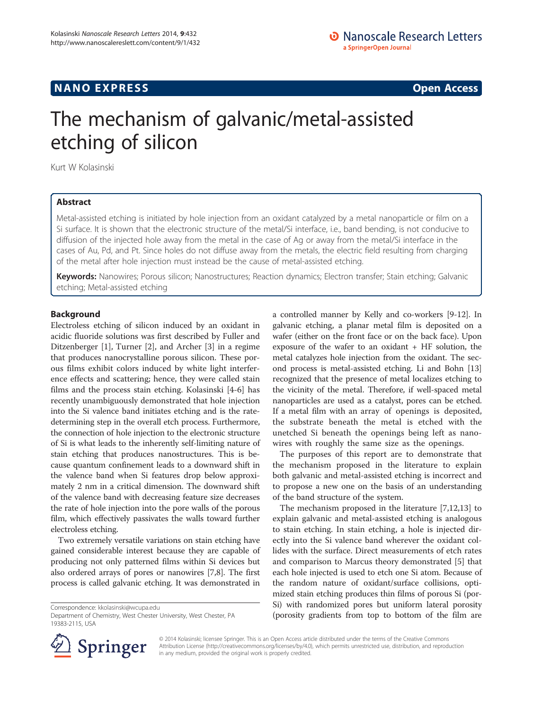# **NANO EXPRESS** Open Access and the set of the set of the set of the set of the set of the set of the set of the set of the set of the set of the set of the set of the set of the set of the set of the set of the set of the

# The mechanism of galvanic/metal-assisted etching of silicon

Kurt W Kolasinski

# Abstract

Metal-assisted etching is initiated by hole injection from an oxidant catalyzed by a metal nanoparticle or film on a Si surface. It is shown that the electronic structure of the metal/Si interface, i.e., band bending, is not conducive to diffusion of the injected hole away from the metal in the case of Ag or away from the metal/Si interface in the cases of Au, Pd, and Pt. Since holes do not diffuse away from the metals, the electric field resulting from charging of the metal after hole injection must instead be the cause of metal-assisted etching.

Keywords: Nanowires; Porous silicon; Nanostructures; Reaction dynamics; Electron transfer; Stain etching; Galvanic etching; Metal-assisted etching

# Background

Electroless etching of silicon induced by an oxidant in acidic fluoride solutions was first described by Fuller and Ditzenberger [\[1](#page-7-0)], Turner [[2\]](#page-7-0), and Archer [[3\]](#page-7-0) in a regime that produces nanocrystalline porous silicon. These porous films exhibit colors induced by white light interference effects and scattering; hence, they were called stain films and the process stain etching. Kolasinski [[4-6](#page-7-0)] has recently unambiguously demonstrated that hole injection into the Si valence band initiates etching and is the ratedetermining step in the overall etch process. Furthermore, the connection of hole injection to the electronic structure of Si is what leads to the inherently self-limiting nature of stain etching that produces nanostructures. This is because quantum confinement leads to a downward shift in the valence band when Si features drop below approximately 2 nm in a critical dimension. The downward shift of the valence band with decreasing feature size decreases the rate of hole injection into the pore walls of the porous film, which effectively passivates the walls toward further electroless etching.

Two extremely versatile variations on stain etching have gained considerable interest because they are capable of producing not only patterned films within Si devices but also ordered arrays of pores or nanowires [[7,8\]](#page-8-0). The first process is called galvanic etching. It was demonstrated in

Correspondence: [kkolasinski@wcupa.edu](mailto:kkolasinski@wcupa.edu)

Department of Chemistry, West Chester University, West Chester, PA 19383-2115, USA

a controlled manner by Kelly and co-workers [[9-12\]](#page-8-0). In galvanic etching, a planar metal film is deposited on a wafer (either on the front face or on the back face). Upon exposure of the wafer to an oxidant  $+$  HF solution, the metal catalyzes hole injection from the oxidant. The second process is metal-assisted etching. Li and Bohn [[13](#page-8-0)] recognized that the presence of metal localizes etching to the vicinity of the metal. Therefore, if well-spaced metal nanoparticles are used as a catalyst, pores can be etched. If a metal film with an array of openings is deposited, the substrate beneath the metal is etched with the unetched Si beneath the openings being left as nanowires with roughly the same size as the openings.

The purposes of this report are to demonstrate that the mechanism proposed in the literature to explain both galvanic and metal-assisted etching is incorrect and to propose a new one on the basis of an understanding of the band structure of the system.

The mechanism proposed in the literature [[7,12,13\]](#page-8-0) to explain galvanic and metal-assisted etching is analogous to stain etching. In stain etching, a hole is injected directly into the Si valence band wherever the oxidant collides with the surface. Direct measurements of etch rates and comparison to Marcus theory demonstrated [\[5](#page-7-0)] that each hole injected is used to etch one Si atom. Because of the random nature of oxidant/surface collisions, optimized stain etching produces thin films of porous Si (por-Si) with randomized pores but uniform lateral porosity (porosity gradients from top to bottom of the film are



© 2014 Kolasinski; licensee Springer. This is an Open Access article distributed under the terms of the Creative Commons Attribution License [\(http://creativecommons.org/licenses/by/4.0\)](http://creativecommons.org/licenses/by/4.0), which permits unrestricted use, distribution, and reproduction in any medium, provided the original work is properly credited.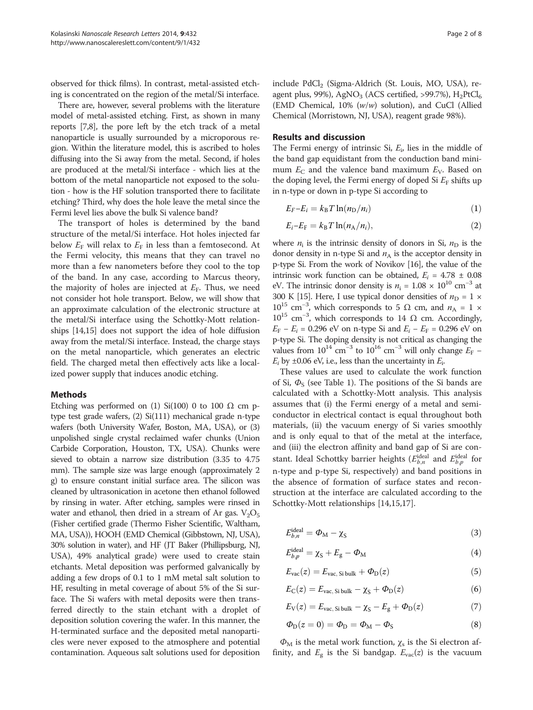<span id="page-2-0"></span>observed for thick films). In contrast, metal-assisted etching is concentrated on the region of the metal/Si interface.

There are, however, several problems with the literature model of metal-assisted etching. First, as shown in many reports [\[7,8](#page-8-0)], the pore left by the etch track of a metal nanoparticle is usually surrounded by a microporous region. Within the literature model, this is ascribed to holes diffusing into the Si away from the metal. Second, if holes are produced at the metal/Si interface - which lies at the bottom of the metal nanoparticle not exposed to the solution - how is the HF solution transported there to facilitate etching? Third, why does the hole leave the metal since the Fermi level lies above the bulk Si valence band?

The transport of holes is determined by the band structure of the metal/Si interface. Hot holes injected far below  $E_F$  will relax to  $E_F$  in less than a femtosecond. At the Fermi velocity, this means that they can travel no more than a few nanometers before they cool to the top of the band. In any case, according to Marcus theory, the majority of holes are injected at  $E<sub>F</sub>$ . Thus, we need not consider hot hole transport. Below, we will show that an approximate calculation of the electronic structure at the metal/Si interface using the Schottky-Mott relationships [[14](#page-8-0),[15](#page-8-0)] does not support the idea of hole diffusion away from the metal/Si interface. Instead, the charge stays on the metal nanoparticle, which generates an electric field. The charged metal then effectively acts like a localized power supply that induces anodic etching.

# Methods

Etching was performed on (1) Si(100) 0 to 100  $\Omega$  cm ptype test grade wafers, (2) Si(111) mechanical grade n-type wafers (both University Wafer, Boston, MA, USA), or (3) unpolished single crystal reclaimed wafer chunks (Union Carbide Corporation, Houston, TX, USA). Chunks were sieved to obtain a narrow size distribution (3.35 to 4.75 mm). The sample size was large enough (approximately 2 g) to ensure constant initial surface area. The silicon was cleaned by ultrasonication in acetone then ethanol followed by rinsing in water. After etching, samples were rinsed in water and ethanol, then dried in a stream of Ar gas.  $V_2O_5$ (Fisher certified grade (Thermo Fisher Scientific, Waltham, MA, USA)), HOOH (EMD Chemical (Gibbstown, NJ, USA), 30% solution in water), and HF (JT Baker (Phillipsburg, NJ, USA), 49% analytical grade) were used to create stain etchants. Metal deposition was performed galvanically by adding a few drops of 0.1 to 1 mM metal salt solution to HF, resulting in metal coverage of about 5% of the Si surface. The Si wafers with metal deposits were then transferred directly to the stain etchant with a droplet of deposition solution covering the wafer. In this manner, the H-terminated surface and the deposited metal nanoparticles were never exposed to the atmosphere and potential contamination. Aqueous salt solutions used for deposition include PdCl<sub>2</sub> (Sigma-Aldrich (St. Louis, MO, USA), reagent plus, 99%), AgNO<sub>3</sub> (ACS certified, >99.7%),  $H_2PtCl_6$ (EMD Chemical,  $10\%$  ( $w/w$ ) solution), and CuCl (Allied Chemical (Morristown, NJ, USA), reagent grade 98%).

# Results and discussion

The Fermi energy of intrinsic Si,  $E_i$ , lies in the middle of the band gap equidistant from the conduction band minimum  $E_C$  and the valence band maximum  $E_V$ . Based on the doping level, the Fermi energy of doped Si  $E_F$  shifts up in n-type or down in p-type Si according to

$$
E_F - E_i = k_B T \ln(n_D/n_i)
$$
 (1)

$$
E_i - E_{\rm F} = k_{\rm B} T \ln(n_{\rm A}/n_i),\tag{2}
$$

where  $n_i$  is the intrinsic density of donors in Si,  $n_D$  is the donor density in n-type Si and  $n_A$  is the acceptor density in p-type Si. From the work of Novikov [\[16\]](#page-8-0), the value of the intrinsic work function can be obtained,  $E_i = 4.78 \pm 0.08$ eV. The intrinsic donor density is  $n_i = 1.08 \times 10^{10}$  cm<sup>-3</sup> at 300 K [[15](#page-8-0)]. Here, I use typical donor densities of  $n_D = 1 \times$  $10^{15}$  cm<sup>-3</sup>, which corresponds to 5  $\Omega$  cm, and  $n_A = 1 \times$ 10<sup>15</sup> cm<sup>-3</sup>, which corresponds to 14 Ω cm. Accordingly,  $E_F - E_i = 0.296$  eV on n-type Si and  $E_i - E_F = 0.296$  eV on p-type Si. The doping density is not critical as changing the values from  $10^{14}$  cm<sup>-3</sup> to  $10^{16}$  cm<sup>-3</sup> will only change  $E_F$  –  $E_i$  by ±0.06 eV, i.e., less than the uncertainty in  $E_i$ .

These values are used to calculate the work function of Si,  $\Phi$ <sub>S</sub> (see Table [1\)](#page-3-0). The positions of the Si bands are calculated with a Schottky-Mott analysis. This analysis assumes that (i) the Fermi energy of a metal and semiconductor in electrical contact is equal throughout both materials, (ii) the vacuum energy of Si varies smoothly and is only equal to that of the metal at the interface, and (iii) the electron affinity and band gap of Si are constant. Ideal Schottky barrier heights ( $E_{b,n}^{ideal}$  and  $E_{b,p}^{ideal}$  for n-type and p-type Si, respectively) and band positions in the absence of formation of surface states and reconstruction at the interface are calculated according to the Schottky-Mott relationships [\[14,15,17](#page-8-0)].

$$
E_{b,n}^{\text{ideal}} = \Phi_{\text{M}} - \chi_{\text{S}} \tag{3}
$$

$$
E_{b,p}^{\text{ideal}} = \chi_{\text{S}} + E_{\text{g}} - \Phi_{\text{M}}
$$
\n
$$
\tag{4}
$$

$$
E_{\rm vac}(z) = E_{\rm vac, Sibulk} + \Phi_{\rm D}(z)
$$
\n(5)

$$
E_{\rm C}(z) = E_{\rm vac, Sibulk} - \chi_{\rm S} + \Phi_{\rm D}(z)
$$
 (6)

$$
E_V(z) = E_{\text{vac, Si bulk}} - \chi_{\text{S}} - E_{\text{g}} + \Phi_{\text{D}}(z)
$$
 (7)

$$
\Phi_{\rm D}(z=0) = \Phi_{\rm D} = \Phi_{\rm M} - \Phi_{\rm S} \tag{8}
$$

 $\Phi_{\rm M}$  is the metal work function,  $\chi_{\rm s}$  is the Si electron affinity, and  $E_{\rm g}$  is the Si bandgap.  $E_{\rm vac}(z)$  is the vacuum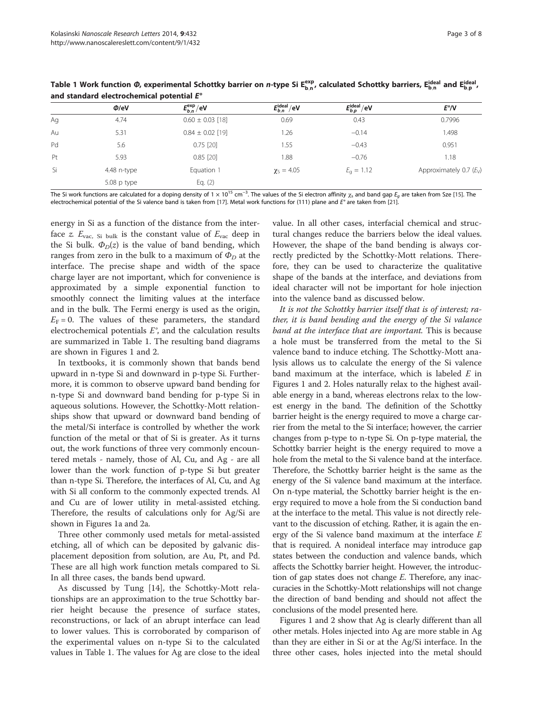|    | $\Phi$ /eV  | $E_{b,n}^{\rm exp}/{\rm eV}$ | $E_{b,n}^{\rm ideal}/{\sf eV}$ | $E_{b,p}^{\rm ideal}/\mathrm{eV}$ | $E^o/V$                   |
|----|-------------|------------------------------|--------------------------------|-----------------------------------|---------------------------|
| Ag | 4.74        | $0.60 \pm 0.03$ [18]         | 0.69                           | 0.43                              | 0.7996                    |
| Au | 5.31        | $0.84 \pm 0.02$ [19]         | 1.26                           | $-0.14$                           | 1.498                     |
| Pd | 5.6         | $0.75$ [20]                  | 1.55                           | $-0.43$                           | 0.951                     |
| Pt | 5.93        | $0.85$ [20]                  | 1.88                           | $-0.76$                           | 1.18                      |
| Si | 4.48 n-type | Equation 1                   | $\chi$ <sub>S</sub> = 4.05     | $E_{\alpha} = 1.12$               | Approximately 0.7 $(E_v)$ |
|    | 5.08 p type | Eq. $(2)$                    |                                |                                   |                           |

<span id="page-3-0"></span>Table 1 Work function Ø, experimental Schottky barrier on  $n$ -type Si E $_{\rm b,n}^{\rm exp}$ , calculated Schottky barriers, E $_{\rm b,n}^{\rm ideal}$  and E $_{\rm b,p}^{\rm ideal}$  , and standard electrochemical potential E°

The Si work functions are calculated for a doping density of 1 × 10<sup>15</sup> cm<sup>-3</sup>. The values of the Si electron affinity <sub>Zs</sub> and band gap E<sub>g</sub> are taken from Sze [[15\]](#page-8-0). The<br>electrochemical potential of the Si valence band i electrochemical potential of the Si valence band is taken from [[17\]](#page-8-0). Metal work functions for (111) plane and  $E^{\circ}$  are taken from [\[21\]](#page-8-0).

energy in Si as a function of the distance from the interface z.  $E_{\text{vac}}$ ,  $S_i$  bulk is the constant value of  $E_{\text{vac}}$  deep in the Si bulk.  $\Phi_D(z)$  is the value of band bending, which ranges from zero in the bulk to a maximum of  $\Phi_D$  at the interface. The precise shape and width of the space charge layer are not important, which for convenience is approximated by a simple exponential function to smoothly connect the limiting values at the interface and in the bulk. The Fermi energy is used as the origin,  $E_F = 0$ . The values of these parameters, the standard electrochemical potentials  $E^{\circ}$ , and the calculation results are summarized in Table 1. The resulting band diagrams are shown in Figures [1](#page-5-0) and [2.](#page-6-0)

In textbooks, it is commonly shown that bands bend upward in n-type Si and downward in p-type Si. Furthermore, it is common to observe upward band bending for n-type Si and downward band bending for p-type Si in aqueous solutions. However, the Schottky-Mott relationships show that upward or downward band bending of the metal/Si interface is controlled by whether the work function of the metal or that of Si is greater. As it turns out, the work functions of three very commonly encountered metals - namely, those of Al, Cu, and Ag - are all lower than the work function of p-type Si but greater than n-type Si. Therefore, the interfaces of Al, Cu, and Ag with Si all conform to the commonly expected trends. Al and Cu are of lower utility in metal-assisted etching. Therefore, the results of calculations only for Ag/Si are shown in Figures [1](#page-5-0)a and [2](#page-6-0)a.

Three other commonly used metals for metal-assisted etching, all of which can be deposited by galvanic displacement deposition from solution, are Au, Pt, and Pd. These are all high work function metals compared to Si. In all three cases, the bands bend upward.

As discussed by Tung [[14\]](#page-8-0), the Schottky-Mott relationships are an approximation to the true Schottky barrier height because the presence of surface states, reconstructions, or lack of an abrupt interface can lead to lower values. This is corroborated by comparison of the experimental values on n-type Si to the calculated values in Table 1. The values for Ag are close to the ideal value. In all other cases, interfacial chemical and structural changes reduce the barriers below the ideal values. However, the shape of the band bending is always correctly predicted by the Schottky-Mott relations. Therefore, they can be used to characterize the qualitative shape of the bands at the interface, and deviations from ideal character will not be important for hole injection into the valence band as discussed below.

It is not the Schottky barrier itself that is of interest; rather, it is band bending and the energy of the Si valance band at the interface that are important. This is because a hole must be transferred from the metal to the Si valence band to induce etching. The Schottky-Mott analysis allows us to calculate the energy of the Si valence band maximum at the interface, which is labeled  $E$  in Figures [1](#page-5-0) and [2](#page-6-0). Holes naturally relax to the highest available energy in a band, whereas electrons relax to the lowest energy in the band. The definition of the Schottky barrier height is the energy required to move a charge carrier from the metal to the Si interface; however, the carrier changes from p-type to n-type Si. On p-type material, the Schottky barrier height is the energy required to move a hole from the metal to the Si valence band at the interface. Therefore, the Schottky barrier height is the same as the energy of the Si valence band maximum at the interface. On n-type material, the Schottky barrier height is the energy required to move a hole from the Si conduction band at the interface to the metal. This value is not directly relevant to the discussion of etching. Rather, it is again the energy of the Si valence band maximum at the interface E that is required. A nonideal interface may introduce gap states between the conduction and valence bands, which affects the Schottky barrier height. However, the introduction of gap states does not change  $E$ . Therefore, any inaccuracies in the Schottky-Mott relationships will not change the direction of band bending and should not affect the conclusions of the model presented here.

Figures [1](#page-5-0) and [2](#page-6-0) show that Ag is clearly different than all other metals. Holes injected into Ag are more stable in Ag than they are either in Si or at the Ag/Si interface. In the three other cases, holes injected into the metal should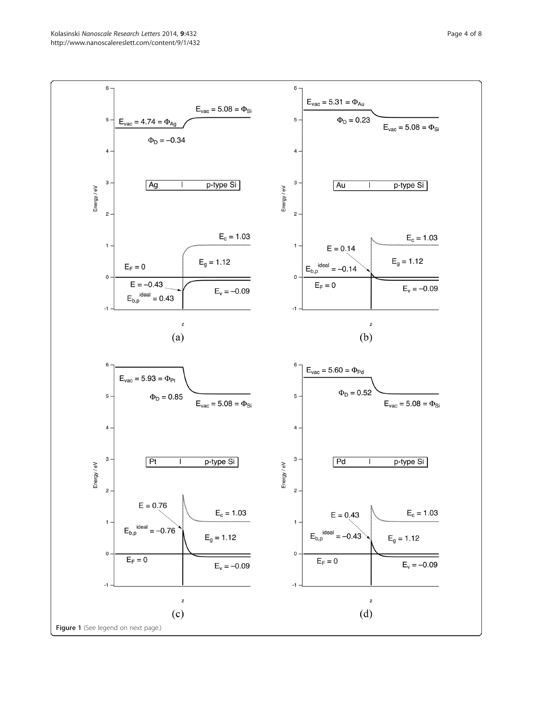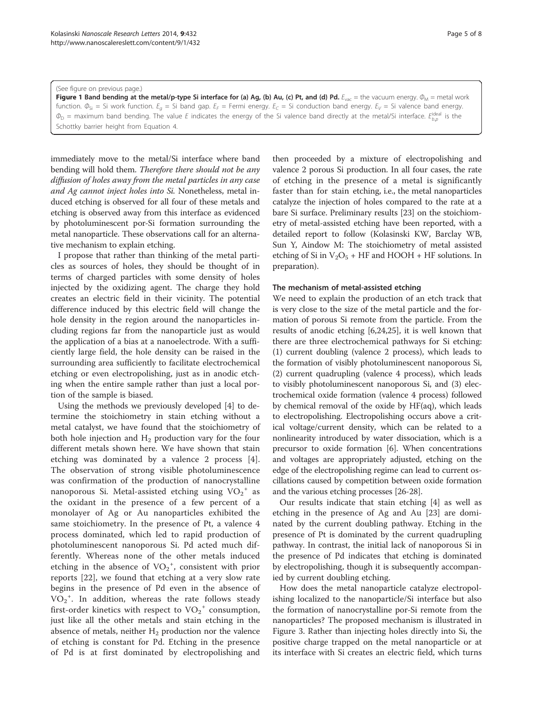<span id="page-5-0"></span>(See figure on previous page.)

Figure 1 Band bending at the metal/p-type Si interface for (a) Ag, (b) Au, (c) Pt, and (d) Pd.  $E_{\text{vac}}$  = the vacuum energy.  $\mathcal{D}_{\text{M}}$  = metal work function.  $\Phi_{Si}$  = Si work function.  $E_q$  = Si band gap.  $E_F$  = Fermi energy.  $E_C$  = Si conduction band energy.  $E_V$  = Si valence band energy.  $\varPhi_{\rm D}$  = maximum band bending. The value E indicates the energy of the Si valence band directly at the metal/Si interface. E $_{b,p}^{\rm ideal}$  is the Schottky barrier height from Equation [4](#page-2-0).

immediately move to the metal/Si interface where band bending will hold them. Therefore there should not be any diffusion of holes away from the metal particles in any case and Ag cannot inject holes into Si. Nonetheless, metal induced etching is observed for all four of these metals and etching is observed away from this interface as evidenced by photoluminescent por-Si formation surrounding the metal nanoparticle. These observations call for an alternative mechanism to explain etching.

I propose that rather than thinking of the metal particles as sources of holes, they should be thought of in terms of charged particles with some density of holes injected by the oxidizing agent. The charge they hold creates an electric field in their vicinity. The potential difference induced by this electric field will change the hole density in the region around the nanoparticles including regions far from the nanoparticle just as would the application of a bias at a nanoelectrode. With a sufficiently large field, the hole density can be raised in the surrounding area sufficiently to facilitate electrochemical etching or even electropolishing, just as in anodic etching when the entire sample rather than just a local portion of the sample is biased.

Using the methods we previously developed [\[4\]](#page-7-0) to determine the stoichiometry in stain etching without a metal catalyst, we have found that the stoichiometry of both hole injection and  $H_2$  production vary for the four different metals shown here. We have shown that stain etching was dominated by a valence 2 process [\[4](#page-7-0)]. The observation of strong visible photoluminescence was confirmation of the production of nanocrystalline nanoporous Si. Metal-assisted etching using  $\mathrm{VO_2}^+$  as the oxidant in the presence of a few percent of a monolayer of Ag or Au nanoparticles exhibited the same stoichiometry. In the presence of Pt, a valence 4 process dominated, which led to rapid production of photoluminescent nanoporous Si. Pd acted much differently. Whereas none of the other metals induced etching in the absence of  $VO_2^+$ , consistent with prior reports [[22\]](#page-8-0), we found that etching at a very slow rate begins in the presence of Pd even in the absence of  $VO_2^+$ . In addition, whereas the rate follows steady first-order kinetics with respect to  $\rm VO_{2}^+$  consumption, just like all the other metals and stain etching in the absence of metals, neither  $H_2$  production nor the valence of etching is constant for Pd. Etching in the presence of Pd is at first dominated by electropolishing and

then proceeded by a mixture of electropolishing and valence 2 porous Si production. In all four cases, the rate of etching in the presence of a metal is significantly faster than for stain etching, i.e., the metal nanoparticles catalyze the injection of holes compared to the rate at a bare Si surface. Preliminary results [[23](#page-8-0)] on the stoichiometry of metal-assisted etching have been reported, with a detailed report to follow (Kolasinski KW, Barclay WB, Sun Y, Aindow M: The stoichiometry of metal assisted etching of Si in  $V_2O_5$  + HF and HOOH + HF solutions. In preparation).

# The mechanism of metal-assisted etching

We need to explain the production of an etch track that is very close to the size of the metal particle and the formation of porous Si remote from the particle. From the results of anodic etching [\[6](#page-7-0)[,24,25\]](#page-8-0), it is well known that there are three electrochemical pathways for Si etching: (1) current doubling (valence 2 process), which leads to the formation of visibly photoluminescent nanoporous Si, (2) current quadrupling (valence 4 process), which leads to visibly photoluminescent nanoporous Si, and (3) electrochemical oxide formation (valence 4 process) followed by chemical removal of the oxide by HF(aq), which leads to electropolishing. Electropolishing occurs above a critical voltage/current density, which can be related to a nonlinearity introduced by water dissociation, which is a precursor to oxide formation [\[6\]](#page-7-0). When concentrations and voltages are appropriately adjusted, etching on the edge of the electropolishing regime can lead to current oscillations caused by competition between oxide formation and the various etching processes [\[26-28](#page-8-0)].

Our results indicate that stain etching [\[4\]](#page-7-0) as well as etching in the presence of Ag and Au [\[23\]](#page-8-0) are dominated by the current doubling pathway. Etching in the presence of Pt is dominated by the current quadrupling pathway. In contrast, the initial lack of nanoporous Si in the presence of Pd indicates that etching is dominated by electropolishing, though it is subsequently accompanied by current doubling etching.

How does the metal nanoparticle catalyze electropolishing localized to the nanoparticle/Si interface but also the formation of nanocrystalline por-Si remote from the nanoparticles? The proposed mechanism is illustrated in Figure [3.](#page-7-0) Rather than injecting holes directly into Si, the positive charge trapped on the metal nanoparticle or at its interface with Si creates an electric field, which turns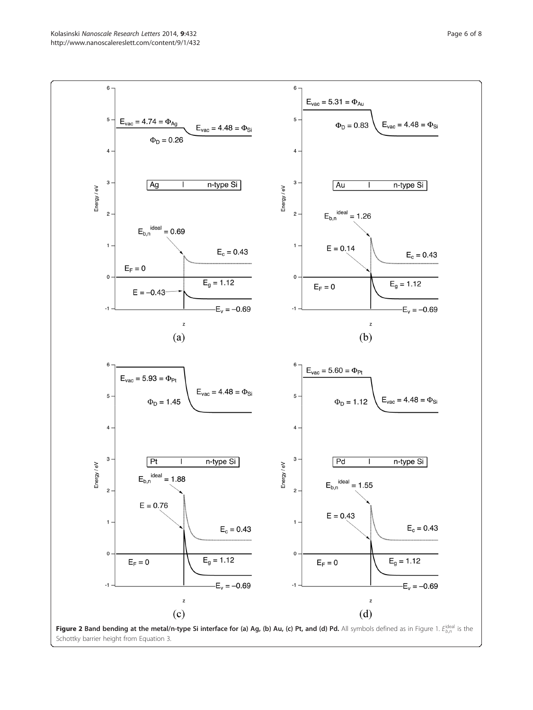<span id="page-6-0"></span>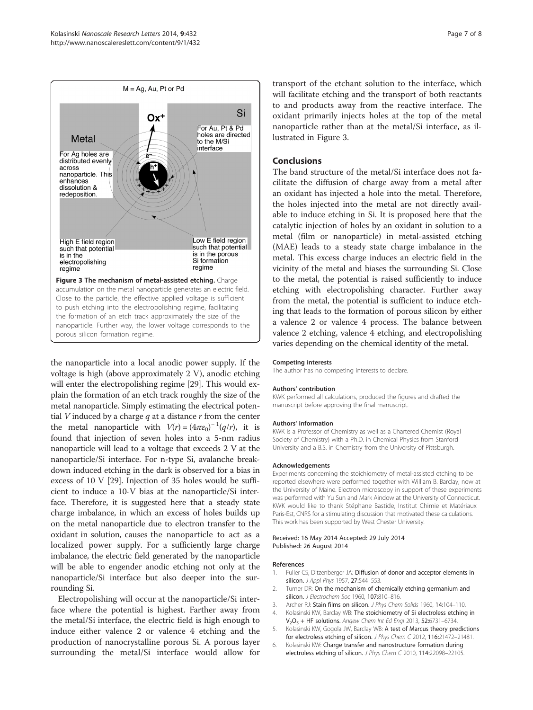<span id="page-7-0"></span>

the nanoparticle into a local anodic power supply. If the voltage is high (above approximately 2 V), anodic etching will enter the electropolishing regime [\[29\]](#page-8-0). This would explain the formation of an etch track roughly the size of the metal nanoparticle. Simply estimating the electrical potential V induced by a charge  $q$  at a distance  $r$  from the center the metal nanoparticle with  $V(r) = (4\pi\epsilon_0)^{-1}(q/r)$ , it is found that injection of seven holes into a 5-nm radius nanoparticle will lead to a voltage that exceeds 2 V at the nanoparticle/Si interface. For n-type Si, avalanche breakdown induced etching in the dark is observed for a bias in excess of 10 V [\[29\]](#page-8-0). Injection of 35 holes would be sufficient to induce a 10-V bias at the nanoparticle/Si interface. Therefore, it is suggested here that a steady state charge imbalance, in which an excess of holes builds up on the metal nanoparticle due to electron transfer to the oxidant in solution, causes the nanoparticle to act as a localized power supply. For a sufficiently large charge imbalance, the electric field generated by the nanoparticle will be able to engender anodic etching not only at the nanoparticle/Si interface but also deeper into the surrounding Si.

Electropolishing will occur at the nanoparticle/Si interface where the potential is highest. Farther away from the metal/Si interface, the electric field is high enough to induce either valence 2 or valence 4 etching and the production of nanocrystalline porous Si. A porous layer surrounding the metal/Si interface would allow for

transport of the etchant solution to the interface, which will facilitate etching and the transport of both reactants to and products away from the reactive interface. The oxidant primarily injects holes at the top of the metal nanoparticle rather than at the metal/Si interface, as illustrated in Figure 3.

# Conclusions

The band structure of the metal/Si interface does not facilitate the diffusion of charge away from a metal after an oxidant has injected a hole into the metal. Therefore, the holes injected into the metal are not directly available to induce etching in Si. It is proposed here that the catalytic injection of holes by an oxidant in solution to a metal (film or nanoparticle) in metal-assisted etching (MAE) leads to a steady state charge imbalance in the metal. This excess charge induces an electric field in the vicinity of the metal and biases the surrounding Si. Close to the metal, the potential is raised sufficiently to induce etching with electropolishing character. Further away from the metal, the potential is sufficient to induce etching that leads to the formation of porous silicon by either a valence 2 or valence 4 process. The balance between valence 2 etching, valence 4 etching, and electropolishing varies depending on the chemical identity of the metal.

#### Competing interests

The author has no competing interests to declare.

# Authors' contribution

KWK performed all calculations, produced the figures and drafted the manuscript before approving the final manuscript.

#### Authors' information

KWK is a Professor of Chemistry as well as a Chartered Chemist (Royal Society of Chemistry) with a Ph.D. in Chemical Physics from Stanford University and a B.S. in Chemistry from the University of Pittsburgh.

#### Acknowledgements

Experiments concerning the stoichiometry of metal-assisted etching to be reported elsewhere were performed together with William B. Barclay, now at the University of Maine. Electron microscopy in support of these experiments was performed with Yu Sun and Mark Aindow at the University of Connecticut. KWK would like to thank Stéphane Bastide, Institut Chimie et Matériaux Paris-Est, CNRS for a stimulating discussion that motivated these calculations. This work has been supported by West Chester University.

# Received: 16 May 2014 Accepted: 29 July 2014 Published: 26 August 2014

### References

- 1. Fuller CS, Ditzenberger JA: Diffusion of donor and acceptor elements in silicon. J Appl Phys 1957, 27:544-553.
- 2. Turner DR: On the mechanism of chemically etching germanium and silicon. J Electrochem Soc 1960, 107:810–816.
- 3. Archer RJ: Stain films on silicon. J Phys Chem Solids 1960, 14:104-110.
- 4. Kolasinski KW, Barclay WB: The stoichiometry of Si electroless etching in  $V<sub>2</sub>O<sub>5</sub>$  + HF solutions. Angew Chem Int Ed Engl 2013, 52:6731–6734.
- 5. Kolasinski KW, Gogola JW, Barclay WB: A test of Marcus theory predictions for electroless etching of silicon. J Phys Chem C 2012, 116:21472–21481.
- 6. Kolasinski KW: Charge transfer and nanostructure formation during electroless etching of silicon. J Phys Chem C 2010, 114:22098-22105.